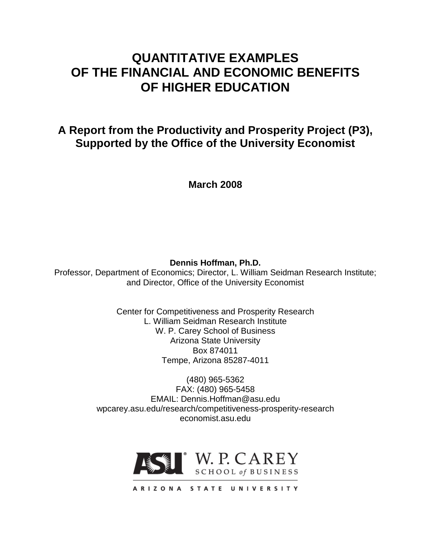# **QUANTITATIVE EXAMPLES OF THE FINANCIAL AND ECONOMIC BENEFITS OF HIGHER EDUCATION**

**A Report from the Productivity and Prosperity Project (P3), Supported by the Office of the University Economist**

**March 2008**

**Dennis Hoffman, Ph.D.**

Professor, Department of Economics; Director, L. William Seidman Research Institute; and Director, Office of the University Economist

> Center for Competitiveness and Prosperity Research L. William Seidman Research Institute W. P. Carey School of Business Arizona State University Box 874011 Tempe, Arizona 85287-4011

(480) 965-5362 FAX: (480) 965-5458 EMAIL: Dennis.Hoffman@asu.edu wpcarey.asu.edu/research/competitiveness-prosperity-research economist.asu.edu

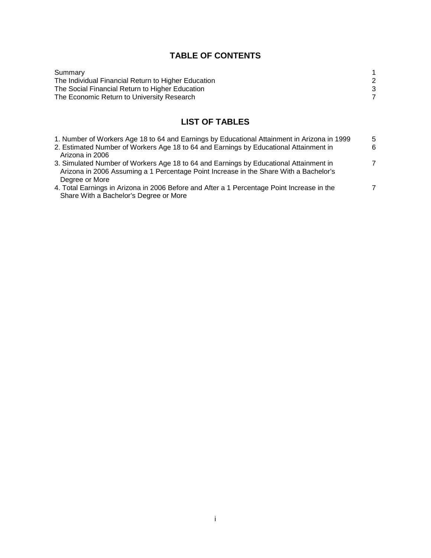# **TABLE OF CONTENTS**

# **LIST OF TABLES**

| 1. Number of Workers Age 18 to 64 and Earnings by Educational Attainment in Arizona in 1999 | 5 |
|---------------------------------------------------------------------------------------------|---|
| 2. Estimated Number of Workers Age 18 to 64 and Earnings by Educational Attainment in       | 6 |
| Arizona in 2006                                                                             |   |
| 3. Simulated Number of Workers Age 18 to 64 and Earnings by Educational Attainment in       | 7 |
| Arizona in 2006 Assuming a 1 Percentage Point Increase in the Share With a Bachelor's       |   |
| Degree or More                                                                              |   |
| 4. Total Earnings in Arizona in 2006 Before and After a 1 Percentage Point Increase in the  | 7 |
| Share With a Bachelor's Degree or More                                                      |   |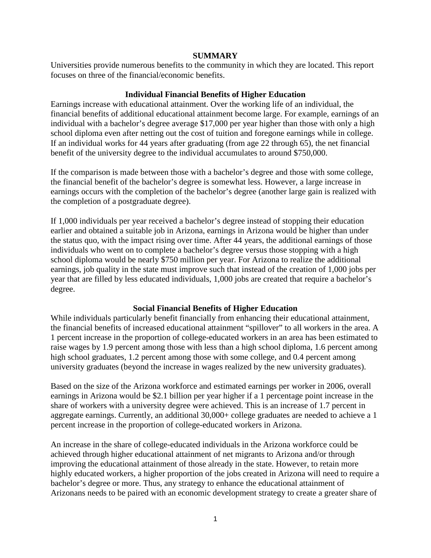#### **SUMMARY**

Universities provide numerous benefits to the community in which they are located. This report focuses on three of the financial/economic benefits.

## **Individual Financial Benefits of Higher Education**

Earnings increase with educational attainment. Over the working life of an individual, the financial benefits of additional educational attainment become large. For example, earnings of an individual with a bachelor's degree average \$17,000 per year higher than those with only a high school diploma even after netting out the cost of tuition and foregone earnings while in college. If an individual works for 44 years after graduating (from age 22 through 65), the net financial benefit of the university degree to the individual accumulates to around \$750,000.

If the comparison is made between those with a bachelor's degree and those with some college, the financial benefit of the bachelor's degree is somewhat less. However, a large increase in earnings occurs with the completion of the bachelor's degree (another large gain is realized with the completion of a postgraduate degree).

If 1,000 individuals per year received a bachelor's degree instead of stopping their education earlier and obtained a suitable job in Arizona, earnings in Arizona would be higher than under the status quo, with the impact rising over time. After 44 years, the additional earnings of those individuals who went on to complete a bachelor's degree versus those stopping with a high school diploma would be nearly \$750 million per year. For Arizona to realize the additional earnings, job quality in the state must improve such that instead of the creation of 1,000 jobs per year that are filled by less educated individuals, 1,000 jobs are created that require a bachelor's degree.

## **Social Financial Benefits of Higher Education**

While individuals particularly benefit financially from enhancing their educational attainment, the financial benefits of increased educational attainment "spillover" to all workers in the area. A 1 percent increase in the proportion of college-educated workers in an area has been estimated to raise wages by 1.9 percent among those with less than a high school diploma, 1.6 percent among high school graduates, 1.2 percent among those with some college, and 0.4 percent among university graduates (beyond the increase in wages realized by the new university graduates).

Based on the size of the Arizona workforce and estimated earnings per worker in 2006, overall earnings in Arizona would be \$2.1 billion per year higher if a 1 percentage point increase in the share of workers with a university degree were achieved. This is an increase of 1.7 percent in aggregate earnings. Currently, an additional 30,000+ college graduates are needed to achieve a 1 percent increase in the proportion of college-educated workers in Arizona.

An increase in the share of college-educated individuals in the Arizona workforce could be achieved through higher educational attainment of net migrants to Arizona and/or through improving the educational attainment of those already in the state. However, to retain more highly educated workers, a higher proportion of the jobs created in Arizona will need to require a bachelor's degree or more. Thus, any strategy to enhance the educational attainment of Arizonans needs to be paired with an economic development strategy to create a greater share of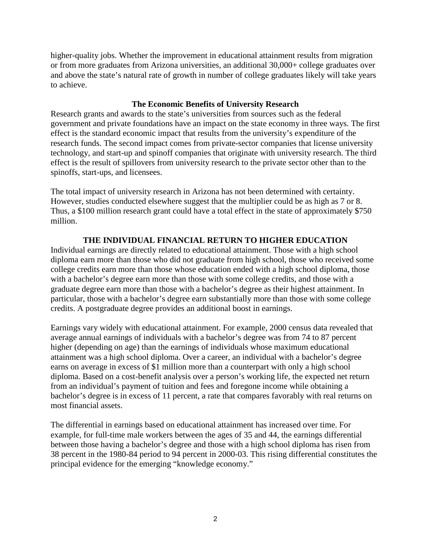higher-quality jobs. Whether the improvement in educational attainment results from migration or from more graduates from Arizona universities, an additional 30,000+ college graduates over and above the state's natural rate of growth in number of college graduates likely will take years to achieve.

## **The Economic Benefits of University Research**

Research grants and awards to the state's universities from sources such as the federal government and private foundations have an impact on the state economy in three ways. The first effect is the standard economic impact that results from the university's expenditure of the research funds. The second impact comes from private-sector companies that license university technology, and start-up and spinoff companies that originate with university research. The third effect is the result of spillovers from university research to the private sector other than to the spinoffs, start-ups, and licensees.

The total impact of university research in Arizona has not been determined with certainty. However, studies conducted elsewhere suggest that the multiplier could be as high as 7 or 8. Thus, a \$100 million research grant could have a total effect in the state of approximately \$750 million.

# **THE INDIVIDUAL FINANCIAL RETURN TO HIGHER EDUCATION**

Individual earnings are directly related to educational attainment. Those with a high school diploma earn more than those who did not graduate from high school, those who received some college credits earn more than those whose education ended with a high school diploma, those with a bachelor's degree earn more than those with some college credits, and those with a graduate degree earn more than those with a bachelor's degree as their highest attainment. In particular, those with a bachelor's degree earn substantially more than those with some college credits. A postgraduate degree provides an additional boost in earnings.

Earnings vary widely with educational attainment. For example, 2000 census data revealed that average annual earnings of individuals with a bachelor's degree was from 74 to 87 percent higher (depending on age) than the earnings of individuals whose maximum educational attainment was a high school diploma. Over a career, an individual with a bachelor's degree earns on average in excess of \$1 million more than a counterpart with only a high school diploma. Based on a cost-benefit analysis over a person's working life, the expected net return from an individual's payment of tuition and fees and foregone income while obtaining a bachelor's degree is in excess of 11 percent, a rate that compares favorably with real returns on most financial assets.

The differential in earnings based on educational attainment has increased over time. For example, for full-time male workers between the ages of 35 and 44, the earnings differential between those having a bachelor's degree and those with a high school diploma has risen from 38 percent in the 1980-84 period to 94 percent in 2000-03. This rising differential constitutes the principal evidence for the emerging "knowledge economy."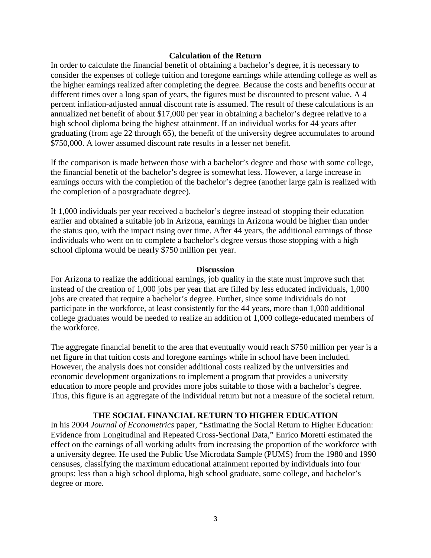#### **Calculation of the Return**

In order to calculate the financial benefit of obtaining a bachelor's degree, it is necessary to consider the expenses of college tuition and foregone earnings while attending college as well as the higher earnings realized after completing the degree. Because the costs and benefits occur at different times over a long span of years, the figures must be discounted to present value. A 4 percent inflation-adjusted annual discount rate is assumed. The result of these calculations is an annualized net benefit of about \$17,000 per year in obtaining a bachelor's degree relative to a high school diploma being the highest attainment. If an individual works for 44 years after graduating (from age 22 through 65), the benefit of the university degree accumulates to around \$750,000. A lower assumed discount rate results in a lesser net benefit.

If the comparison is made between those with a bachelor's degree and those with some college, the financial benefit of the bachelor's degree is somewhat less. However, a large increase in earnings occurs with the completion of the bachelor's degree (another large gain is realized with the completion of a postgraduate degree).

If 1,000 individuals per year received a bachelor's degree instead of stopping their education earlier and obtained a suitable job in Arizona, earnings in Arizona would be higher than under the status quo, with the impact rising over time. After 44 years, the additional earnings of those individuals who went on to complete a bachelor's degree versus those stopping with a high school diploma would be nearly \$750 million per year.

#### **Discussion**

For Arizona to realize the additional earnings, job quality in the state must improve such that instead of the creation of 1,000 jobs per year that are filled by less educated individuals, 1,000 jobs are created that require a bachelor's degree. Further, since some individuals do not participate in the workforce, at least consistently for the 44 years, more than 1,000 additional college graduates would be needed to realize an addition of 1,000 college-educated members of the workforce.

The aggregate financial benefit to the area that eventually would reach \$750 million per year is a net figure in that tuition costs and foregone earnings while in school have been included. However, the analysis does not consider additional costs realized by the universities and economic development organizations to implement a program that provides a university education to more people and provides more jobs suitable to those with a bachelor's degree. Thus, this figure is an aggregate of the individual return but not a measure of the societal return.

## **THE SOCIAL FINANCIAL RETURN TO HIGHER EDUCATION**

In his 2004 *Journal of Econometrics* paper, "Estimating the Social Return to Higher Education: Evidence from Longitudinal and Repeated Cross-Sectional Data," Enrico Moretti estimated the effect on the earnings of all working adults from increasing the proportion of the workforce with a university degree. He used the Public Use Microdata Sample (PUMS) from the 1980 and 1990 censuses, classifying the maximum educational attainment reported by individuals into four groups: less than a high school diploma, high school graduate, some college, and bachelor's degree or more.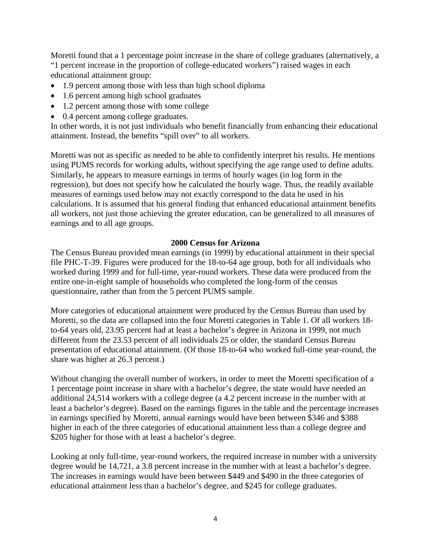Moretti found that a 1 percentage point increase in the share of college graduates (alternatively, a "1 percent increase in the proportion of college-educated workers") raised wages in each educational attainment group:

- 1.9 percent among those with less than high school diploma
- 1.6 percent among high school graduates
- 1.2 percent among those with some college
- 0.4 percent among college graduates.

In other words, it is not just individuals who benefit financially from enhancing their educational attainment. Instead, the benefits "spill over" to all workers.

Moretti was not as specific as needed to be able to confidently interpret his results. He mentions using PUMS records for working adults, without specifying the age range used to define adults. Similarly, he appears to measure earnings in terms of hourly wages (in log form in the regression), but does not specify how he calculated the hourly wage. Thus, the readily available measures of earnings used below may not exactly correspond to the data he used in his calculations. It is assumed that his general finding that enhanced educational attainment benefits all workers, not just those achieving the greater education, can be generalized to all measures of earnings and to all age groups.

## **2000 Census for Arizona**

The Census Bureau provided mean earnings (in 1999) by educational attainment in their special file PHC-T-39. Figures were produced for the 18-to-64 age group, both for all individuals who worked during 1999 and for full-time, year-round workers. These data were produced from the entire one-in-eight sample of households who completed the long-form of the census questionnaire, rather than from the 5 percent PUMS sample.

More categories of educational attainment were produced by the Census Bureau than used by Moretti, so the data are collapsed into the four Moretti categories in Table 1. Of all workers 18 to-64 years old, 23.95 percent had at least a bachelor's degree in Arizona in 1999, not much different from the 23.53 percent of all individuals 25 or older, the standard Census Bureau presentation of educational attainment. (Of those 18-to-64 who worked full-time year-round, the share was higher at 26.3 percent.)

Without changing the overall number of workers, in order to meet the Moretti specification of a 1 percentage point increase in share with a bachelor's degree, the state would have needed an additional 24,514 workers with a college degree (a 4.2 percent increase in the number with at least a bachelor's degree). Based on the earnings figures in the table and the percentage increases in earnings specified by Moretti, annual earnings would have been between \$346 and \$388 higher in each of the three categories of educational attainment less than a college degree and \$205 higher for those with at least a bachelor's degree.

Looking at only full-time, year-round workers, the required increase in number with a university degree would be 14,721, a 3.8 percent increase in the number with at least a bachelor's degree. The increases in earnings would have been between \$449 and \$490 in the three categories of educational attainment less than a bachelor's degree, and \$245 for college graduates.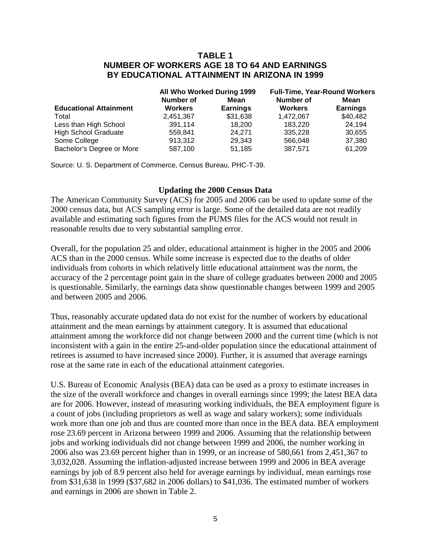## **TABLE 1 NUMBER OF WORKERS AGE 18 TO 64 AND EARNINGS BY EDUCATIONAL ATTAINMENT IN ARIZONA IN 1999**

|                               | All Who Worked During 1999 |                 | <b>Full-Time, Year-Round Workers</b> |                 |
|-------------------------------|----------------------------|-----------------|--------------------------------------|-----------------|
|                               | Number of                  | Mean            | Number of                            | Mean            |
| <b>Educational Attainment</b> | <b>Workers</b>             | <b>Earnings</b> | <b>Workers</b>                       | <b>Earnings</b> |
| Total                         | 2,451,367                  | \$31,638        | 1,472,067                            | \$40,482        |
| Less than High School         | 391,114                    | 18.200          | 183.220                              | 24.194          |
| <b>High School Graduate</b>   | 559.841                    | 24.271          | 335.228                              | 30,655          |
| Some College                  | 913,312                    | 29.343          | 566.048                              | 37,380          |
| Bachelor's Degree or More     | 587,100                    | 51.185          | 387,571                              | 61,209          |

Source: U. S. Department of Commerce, Census Bureau, PHC-T-39.

### **Updating the 2000 Census Data**

The American Community Survey (ACS) for 2005 and 2006 can be used to update some of the 2000 census data, but ACS sampling error is large. Some of the detailed data are not readily available and estimating such figures from the PUMS files for the ACS would not result in reasonable results due to very substantial sampling error.

Overall, for the population 25 and older, educational attainment is higher in the 2005 and 2006 ACS than in the 2000 census. While some increase is expected due to the deaths of older individuals from cohorts in which relatively little educational attainment was the norm, the accuracy of the 2 percentage point gain in the share of college graduates between 2000 and 2005 is questionable. Similarly, the earnings data show questionable changes between 1999 and 2005 and between 2005 and 2006.

Thus, reasonably accurate updated data do not exist for the number of workers by educational attainment and the mean earnings by attainment category. It is assumed that educational attainment among the workforce did not change between 2000 and the current time (which is not inconsistent with a gain in the entire 25-and-older population since the educational attainment of retirees is assumed to have increased since 2000). Further, it is assumed that average earnings rose at the same rate in each of the educational attainment categories.

U.S. Bureau of Economic Analysis (BEA) data can be used as a proxy to estimate increases in the size of the overall workforce and changes in overall earnings since 1999; the latest BEA data are for 2006. However, instead of measuring working individuals, the BEA employment figure is a count of jobs (including proprietors as well as wage and salary workers); some individuals work more than one job and thus are counted more than once in the BEA data. BEA employment rose 23.69 percent in Arizona between 1999 and 2006. Assuming that the relationship between jobs and working individuals did not change between 1999 and 2006, the number working in 2006 also was 23.69 percent higher than in 1999, or an increase of 580,661 from 2,451,367 to 3,032,028. Assuming the inflation-adjusted increase between 1999 and 2006 in BEA average earnings by job of 8.9 percent also held for average earnings by individual, mean earnings rose from \$31,638 in 1999 (\$37,682 in 2006 dollars) to \$41,036. The estimated number of workers and earnings in 2006 are shown in Table 2.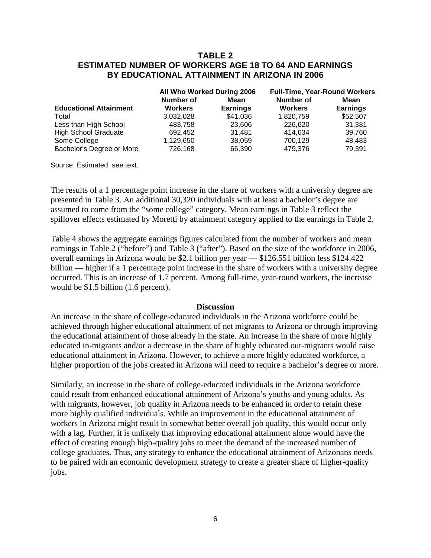# **TABLE 2 ESTIMATED NUMBER OF WORKERS AGE 18 TO 64 AND EARNINGS BY EDUCATIONAL ATTAINMENT IN ARIZONA IN 2006**

|                               | All Who Worked During 2006 |                 | <b>Full-Time, Year-Round Workers</b> |                 |
|-------------------------------|----------------------------|-----------------|--------------------------------------|-----------------|
|                               | Number of                  | Mean            | Number of                            | Mean            |
| <b>Educational Attainment</b> | <b>Workers</b>             | <b>Earnings</b> | <b>Workers</b>                       | <b>Earnings</b> |
| Total                         | 3,032,028                  | \$41,036        | 1,820,759                            | \$52,507        |
| Less than High School         | 483,758                    | 23,606          | 226,620                              | 31.381          |
| <b>High School Graduate</b>   | 692,452                    | 31.481          | 414.634                              | 39,760          |
| Some College                  | 1,129,650                  | 38,059          | 700,129                              | 48,483          |
| Bachelor's Degree or More     | 726,168                    | 66,390          | 479.376                              | 79.391          |

Source: Estimated, see text.

The results of a 1 percentage point increase in the share of workers with a university degree are presented in Table 3. An additional 30,320 individuals with at least a bachelor's degree are assumed to come from the "some college" category. Mean earnings in Table 3 reflect the spillover effects estimated by Moretti by attainment category applied to the earnings in Table 2.

Table 4 shows the aggregate earnings figures calculated from the number of workers and mean earnings in Table 2 ("before") and Table 3 ("after"). Based on the size of the workforce in 2006, overall earnings in Arizona would be \$2.1 billion per year — \$126.551 billion less \$124.422 billion — higher if a 1 percentage point increase in the share of workers with a university degree occurred. This is an increase of 1.7 percent. Among full-time, year-round workers, the increase would be \$1.5 billion (1.6 percent).

#### **Discussion**

An increase in the share of college-educated individuals in the Arizona workforce could be achieved through higher educational attainment of net migrants to Arizona or through improving the educational attainment of those already in the state. An increase in the share of more highly educated in-migrants and/or a decrease in the share of highly educated out-migrants would raise educational attainment in Arizona. However, to achieve a more highly educated workforce, a higher proportion of the jobs created in Arizona will need to require a bachelor's degree or more.

Similarly, an increase in the share of college-educated individuals in the Arizona workforce could result from enhanced educational attainment of Arizona's youths and young adults. As with migrants, however, job quality in Arizona needs to be enhanced in order to retain these more highly qualified individuals. While an improvement in the educational attainment of workers in Arizona might result in somewhat better overall job quality, this would occur only with a lag. Further, it is unlikely that improving educational attainment alone would have the effect of creating enough high-quality jobs to meet the demand of the increased number of college graduates. Thus, any strategy to enhance the educational attainment of Arizonans needs to be paired with an economic development strategy to create a greater share of higher-quality jobs.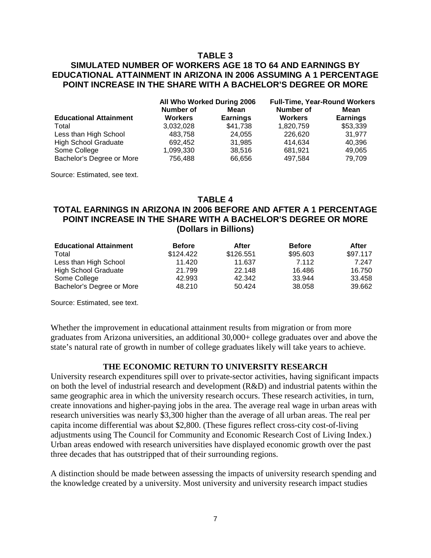## **TABLE 3**

# **SIMULATED NUMBER OF WORKERS AGE 18 TO 64 AND EARNINGS BY EDUCATIONAL ATTAINMENT IN ARIZONA IN 2006 ASSUMING A 1 PERCENTAGE POINT INCREASE IN THE SHARE WITH A BACHELOR'S DEGREE OR MORE**

|                               | All Who Worked During 2006 |                 | <b>Full-Time, Year-Round Workers</b> |                 |
|-------------------------------|----------------------------|-----------------|--------------------------------------|-----------------|
|                               | Number of                  | Mean            | Number of                            | Mean            |
| <b>Educational Attainment</b> | <b>Workers</b>             | <b>Earnings</b> | <b>Workers</b>                       | <b>Earnings</b> |
| Total                         | 3,032,028                  | \$41,738        | 1,820,759                            | \$53,339        |
| Less than High School         | 483.758                    | 24,055          | 226,620                              | 31.977          |
| <b>High School Graduate</b>   | 692.452                    | 31.985          | 414.634                              | 40.396          |
| Some College                  | 1,099,330                  | 38,516          | 681.921                              | 49,065          |
| Bachelor's Degree or More     | 756,488                    | 66,656          | 497.584                              | 79,709          |

Source: Estimated, see text.

#### **TABLE 4**

# **TOTAL EARNINGS IN ARIZONA IN 2006 BEFORE AND AFTER A 1 PERCENTAGE POINT INCREASE IN THE SHARE WITH A BACHELOR'S DEGREE OR MORE (Dollars in Billions)**

| <b>Educational Attainment</b> | <b>Before</b> | After     | <b>Before</b> | After    |
|-------------------------------|---------------|-----------|---------------|----------|
| Total                         | \$124.422     | \$126.551 | \$95.603      | \$97.117 |
| Less than High School         | 11.420        | 11.637    | 7.112         | 7.247    |
| <b>High School Graduate</b>   | 21.799        | 22.148    | 16.486        | 16.750   |
| Some College                  | 42.993        | 42.342    | 33.944        | 33.458   |
| Bachelor's Degree or More     | 48.210        | 50.424    | 38.058        | 39.662   |

Source: Estimated, see text.

Whether the improvement in educational attainment results from migration or from more graduates from Arizona universities, an additional 30,000+ college graduates over and above the state's natural rate of growth in number of college graduates likely will take years to achieve.

#### **THE ECONOMIC RETURN TO UNIVERSITY RESEARCH**

University research expenditures spill over to private-sector activities, having significant impacts on both the level of industrial research and development (R&D) and industrial patents within the same geographic area in which the university research occurs. These research activities, in turn, create innovations and higher-paying jobs in the area. The average real wage in urban areas with research universities was nearly \$3,300 higher than the average of all urban areas. The real per capita income differential was about \$2,800. (These figures reflect cross-city cost-of-living adjustments using The Council for Community and Economic Research Cost of Living Index.) Urban areas endowed with research universities have displayed economic growth over the past three decades that has outstripped that of their surrounding regions.

A distinction should be made between assessing the impacts of university research spending and the knowledge created by a university. Most university and university research impact studies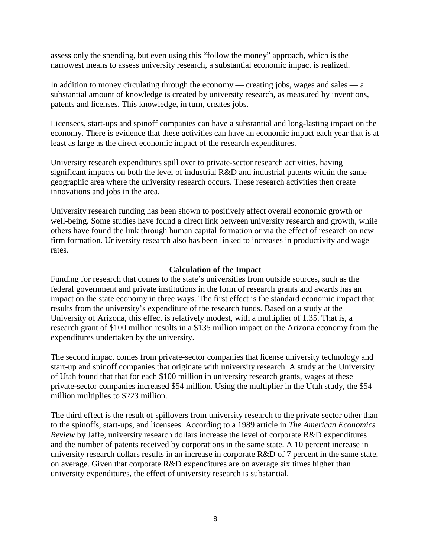assess only the spending, but even using this "follow the money" approach, which is the narrowest means to assess university research, a substantial economic impact is realized.

In addition to money circulating through the economy — creating jobs, wages and sales — a substantial amount of knowledge is created by university research, as measured by inventions, patents and licenses. This knowledge, in turn, creates jobs.

Licensees, start-ups and spinoff companies can have a substantial and long-lasting impact on the economy. There is evidence that these activities can have an economic impact each year that is at least as large as the direct economic impact of the research expenditures.

University research expenditures spill over to private-sector research activities, having significant impacts on both the level of industrial R&D and industrial patents within the same geographic area where the university research occurs. These research activities then create innovations and jobs in the area.

University research funding has been shown to positively affect overall economic growth or well-being. Some studies have found a direct link between university research and growth, while others have found the link through human capital formation or via the effect of research on new firm formation. University research also has been linked to increases in productivity and wage rates.

## **Calculation of the Impact**

Funding for research that comes to the state's universities from outside sources, such as the federal government and private institutions in the form of research grants and awards has an impact on the state economy in three ways. The first effect is the standard economic impact that results from the university's expenditure of the research funds. Based on a study at the University of Arizona, this effect is relatively modest, with a multiplier of 1.35. That is, a research grant of \$100 million results in a \$135 million impact on the Arizona economy from the expenditures undertaken by the university.

The second impact comes from private-sector companies that license university technology and start-up and spinoff companies that originate with university research. A study at the University of Utah found that that for each \$100 million in university research grants, wages at these private-sector companies increased \$54 million. Using the multiplier in the Utah study, the \$54 million multiplies to \$223 million.

The third effect is the result of spillovers from university research to the private sector other than to the spinoffs, start-ups, and licensees. According to a 1989 article in *The American Economics Review* by Jaffe, university research dollars increase the level of corporate R&D expenditures and the number of patents received by corporations in the same state. A 10 percent increase in university research dollars results in an increase in corporate R&D of 7 percent in the same state, on average. Given that corporate R&D expenditures are on average six times higher than university expenditures, the effect of university research is substantial.